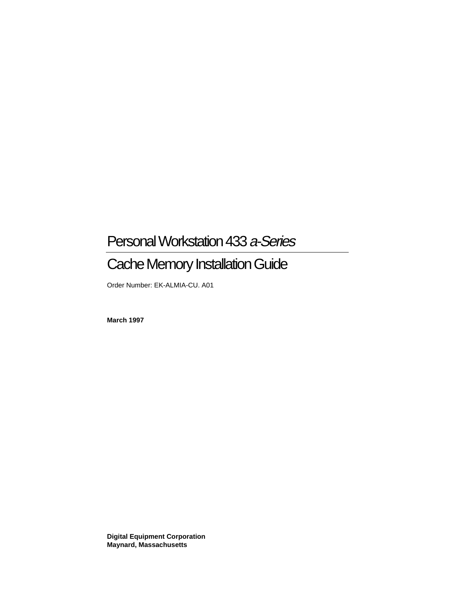# Personal Workstation 433 a-Series

# Cache Memory Installation Guide

Order Number: EK-ALMIA-CU. A01

**March 1997**

**Digital Equipment Corporation Maynard, Massachusetts**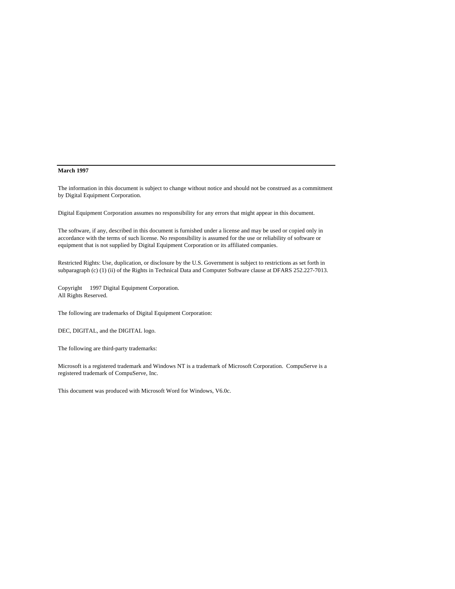#### **March 1997**

The information in this document is subject to change without notice and should not be construed as a commitment by Digital Equipment Corporation.

Digital Equipment Corporation assumes no responsibility for any errors that might appear in this document.

The software, if any, described in this document is furnished under a license and may be used or copied only in accordance with the terms of such license. No responsibility is assumed for the use or reliability of software or equipment that is not supplied by Digital Equipment Corporation or its affiliated companies.

Restricted Rights: Use, duplication, or disclosure by the U.S. Government is subject to restrictions as set forth in subparagraph (c) (1) (ii) of the Rights in Technical Data and Computer Software clause at DFARS 252.227-7013.

Copyright © 1997 Digital Equipment Corporation. All Rights Reserved.

The following are trademarks of Digital Equipment Corporation:

DEC, DIGITAL, and the DIGITAL logo.

The following are third-party trademarks:

Microsoft is a registered trademark and Windows NT is a trademark of Microsoft Corporation. CompuServe is a registered trademark of CompuServe, Inc.

This document was produced with Microsoft Word for Windows, V6.0c.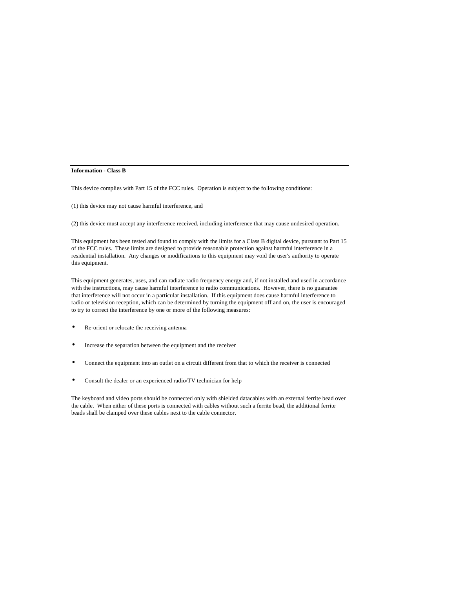#### **Information - Class B**

This device complies with Part 15 of the FCC rules. Operation is subject to the following conditions:

(1) this device may not cause harmful interference, and

(2) this device must accept any interference received, including interference that may cause undesired operation.

This equipment has been tested and found to comply with the limits for a Class B digital device, pursuant to Part 15 of the FCC rules. These limits are designed to provide reasonable protection against harmful interference in a residential installation. Any changes or modifications to this equipment may void the user's authority to operate this equipment.

This equipment generates, uses, and can radiate radio frequency energy and, if not installed and used in accordance with the instructions, may cause harmful interference to radio communications. However, there is no guarantee that interference will not occur in a particular installation. If this equipment does cause harmful interference to radio or television reception, which can be determined by turning the equipment off and on, the user is encouraged to try to correct the interference by one or more of the following measures:

- Re-orient or relocate the receiving antenna
- Increase the separation between the equipment and the receiver
- Connect the equipment into an outlet on a circuit different from that to which the receiver is connected
- Consult the dealer or an experienced radio/TV technician for help

The keyboard and video ports should be connected only with shielded datacables with an external ferrite bead over the cable. When either of these ports is connected with cables without such a ferrite bead, the additional ferrite beads shall be clamped over these cables next to the cable connector.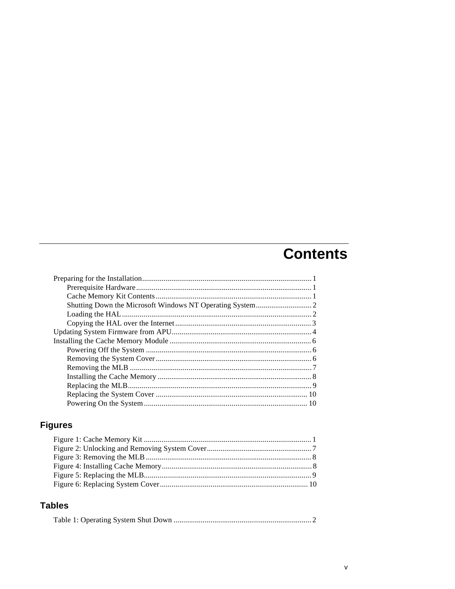# **Contents**

## **Figures**

## **Tables**

|--|--|--|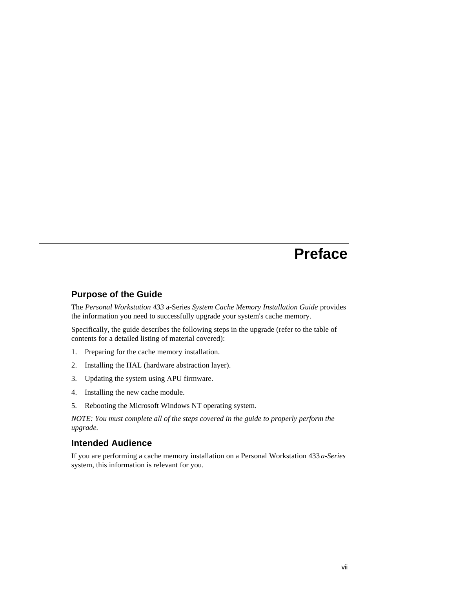## **Preface**

#### **Purpose of the Guide**

The *Personal Workstation 433* a-Series *System Cache Memory Installation Guide* provides the information you need to successfully upgrade your system's cache memory.

Specifically, the guide describes the following steps in the upgrade (refer to the table of contents for a detailed listing of material covered):

- 1. Preparing for the cache memory installation.
- 2. Installing the HAL (hardware abstraction layer).
- 3. Updating the system using APU firmware.
- 4. Installing the new cache module.
- 5. Rebooting the Microsoft Windows NT operating system.

*NOTE: You must complete all of the steps covered in the guide to properly perform the upgrade.*

### **Intended Audience**

If you are performing a cache memory installation on a Personal Workstation 433 *a-Series* system, this information is relevant for you.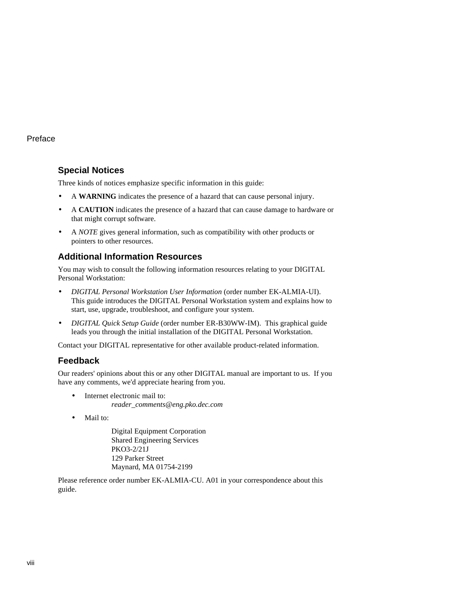#### Preface

## **Special Notices**

Three kinds of notices emphasize specific information in this guide:

- A **WARNING** indicates the presence of a hazard that can cause personal injury.
- A **CAUTION** indicates the presence of a hazard that can cause damage to hardware or that might corrupt software.
- A *NOTE* gives general information, such as compatibility with other products or pointers to other resources.

## **Additional Information Resources**

You may wish to consult the following information resources relating to your DIGITAL Personal Workstation:

- *DIGITAL Personal Workstation User Information* (order number EK-ALMIA-UI). This guide introduces the DIGITAL Personal Workstation system and explains how to start, use, upgrade, troubleshoot, and configure your system.
- *DIGITAL Quick Setup Guide* (order number ER-B30WW-IM). This graphical guide leads you through the initial installation of the DIGITAL Personal Workstation.

Contact your DIGITAL representative for other available product-related information.

## **Feedback**

Our readers' opinions about this or any other DIGITAL manual are important to us. If you have any comments, we'd appreciate hearing from you.

- Internet electronic mail to: *reader\_comments@eng.pko.dec.com*
- Mail to:

Digital Equipment Corporation Shared Engineering Services PKO3-2/21J 129 Parker Street Maynard, MA 01754-2199

Please reference order number EK-ALMIA-CU. A01 in your correspondence about this guide.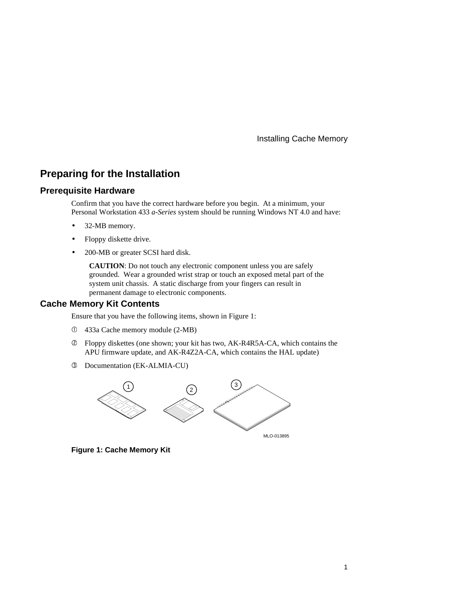## **Preparing for the Installation**

#### **Prerequisite Hardware**

Confirm that you have the correct hardware before you begin. At a minimum, your Personal Workstation 433 *a-Series* system should be running Windows NT 4.0 and have:

- 32-MB memory.
- Floppy diskette drive.
- 200-MB or greater SCSI hard disk.

**CAUTION**: Do not touch any electronic component unless you are safely grounded. Wear a grounded wrist strap or touch an exposed metal part of the system unit chassis. A static discharge from your fingers can result in permanent damage to electronic components.

#### **Cache Memory Kit Contents**

Ensure that you have the following items, shown in Figure 1:

- c 433a Cache memory module (2-MB)
- d Floppy diskettes (one shown; your kit has two, AK-R4R5A-CA, which contains the APU firmware update, and AK-R4Z2A-CA, which contains the HAL update)
- e Documentation (EK-ALMIA-CU)



**Figure 1: Cache Memory Kit**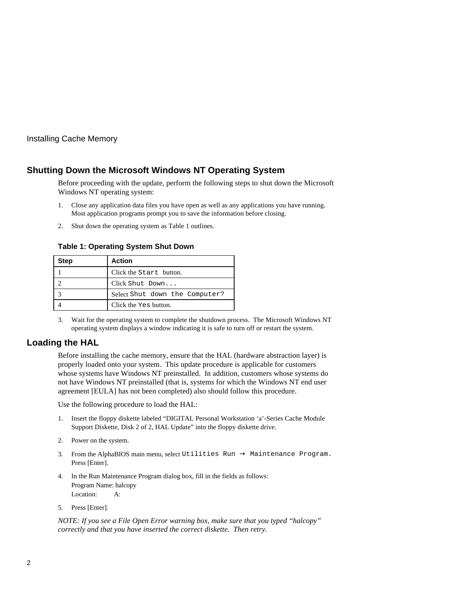## **Shutting Down the Microsoft Windows NT Operating System**

Before proceeding with the update, perform the following steps to shut down the Microsoft Windows NT operating system:

- 1. Close any application data files you have open as well as any applications you have running. Most application programs prompt you to save the information before closing.
- 2. Shut down the operating system as Table 1 outlines.

#### **Table 1: Operating System Shut Down**

| <b>Step</b> | <b>Action</b>                  |
|-------------|--------------------------------|
|             | Click the Start button.        |
|             | Click Shut Down                |
|             | Select Shut down the Computer? |
|             | Click the Yes button.          |

3. Wait for the operating system to complete the shutdown process. The Microsoft Windows NT operating system displays a window indicating it is safe to turn off or restart the system.

#### **Loading the HAL**

Before installing the cache memory, ensure that the HAL (hardware abstraction layer) is properly loaded onto your system. This update procedure is applicable for customers whose systems have Windows NT preinstalled. In addition, customers whose systems do not have Windows NT preinstalled (that is, systems for which the Windows NT end user agreement [EULA] has not been completed) also should follow this procedure.

Use the following procedure to load the HAL:

- 1. Insert the floppy diskette labeled "DIGITAL Personal Workstation 'a'-Series Cache Module Support Diskette, Disk 2 of 2, HAL Update" into the floppy diskette drive.
- 2. Power on the system.
- 3. From the AlphaBIOS main menu, select Utilities  $Run \rightarrow Maintenance$  Program. Press [Enter].
- 4. In the Run Maintenance Program dialog box, fill in the fields as follows: Program Name: halcopy Location: A:
- 5. Press [Enter].

*NOTE: If you see a File Open Error warning box, make sure that you typed "halcopy" correctly and that you have inserted the correct diskette. Then retry.*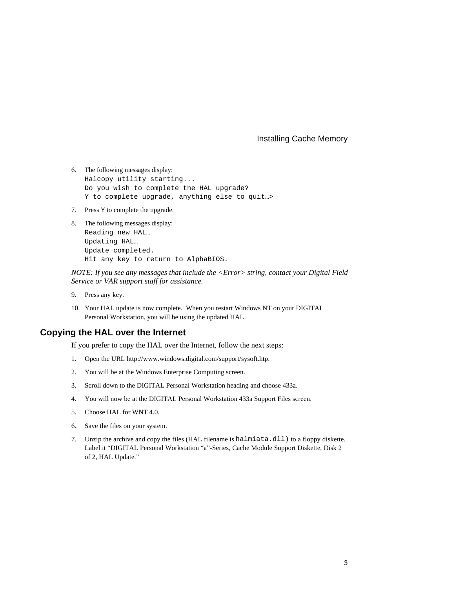- 6. The following messages display: Halcopy utility starting... Do you wish to complete the HAL upgrade? Y to complete upgrade, anything else to quit…>
- 7. Press Y to complete the upgrade.
- 8. The following messages display: Reading new HAL… Updating HAL… Update completed. Hit any key to return to AlphaBIOS.

*NOTE: If you see any messages that include the <Error> string, contact your Digital Field Service or VAR support staff for assistance.*

- 9. Press any key.
- 10. Your HAL update is now complete. When you restart Windows NT on your DIGITAL Personal Workstation, you will be using the updated HAL.

#### **Copying the HAL over the Internet**

If you prefer to copy the HAL over the Internet, follow the next steps:

- 1. Open the URL http://www.windows.digital.com/support/sysoft.htp.
- 2. You will be at the Windows Enterprise Computing screen.
- 3. Scroll down to the DIGITAL Personal Workstation heading and choose 433a.
- 4. You will now be at the DIGITAL Personal Workstation 433a Support Files screen.
- 5. Choose HAL for WNT 4.0.
- 6. Save the files on your system.
- 7. Unzip the archive and copy the files (HAL filename is halmiata.dll) to a floppy diskette. Label it "DIGITAL Personal Workstation "a"-Series, Cache Module Support Diskette, Disk 2 of 2, HAL Update."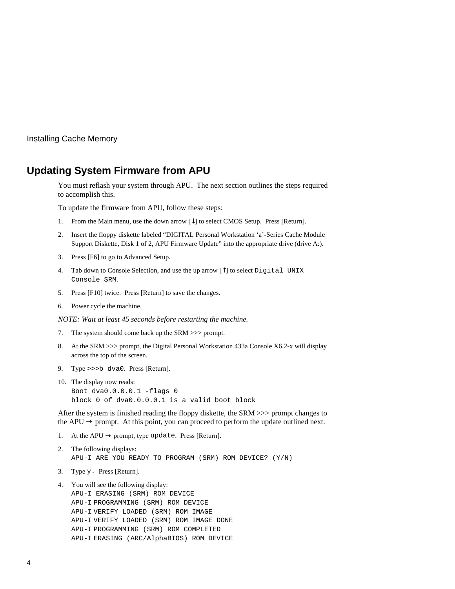## **Updating System Firmware from APU**

You must reflash your system through APU. The next section outlines the steps required to accomplish this.

To update the firmware from APU, follow these steps:

- 1. From the Main menu, use the down arrow  $[\downarrow]$  to select CMOS Setup. Press [Return].
- 2. Insert the floppy diskette labeled "DIGITAL Personal Workstation 'a'-Series Cache Module Support Diskette, Disk 1 of 2, APU Firmware Update" into the appropriate drive (drive A:).
- 3. Press [F6] to go to Advanced Setup.
- 4. Tab down to Console Selection, and use the up arrow  $[\hat{ }]$  to select Digital UNIX Console SRM.
- 5. Press [F10] twice. Press [Return] to save the changes.
- 6. Power cycle the machine.

*NOTE: Wait at least 45 seconds before restarting the machine.*

- 7. The system should come back up the SRM >>> prompt.
- 8. At the SRM >>> prompt, the Digital Personal Workstation 433a Console X6.2-x will display across the top of the screen.
- 9. Type >>>b dva0. Press [Return].
- 10. The display now reads: Boot dva0.0.0.0.1 -flags 0 block 0 of dva0.0.0.0.1 is a valid boot block

After the system is finished reading the floppy diskette, the SRM >>> prompt changes to the APU  $\rightarrow$  prompt. At this point, you can proceed to perform the update outlined next.

- 1. At the APU  $\rightarrow$  prompt, type update. Press [Return].
- 2. The following displays: APU-I ARE YOU READY TO PROGRAM (SRM) ROM DEVICE? (Y/N)
- 3. Type y. Press [Return].
- 4. You will see the following display: APU-I ERASING (SRM) ROM DEVICE APU-I PROGRAMMING (SRM) ROM DEVICE APU-I VERIFY LOADED (SRM) ROM IMAGE APU-I VERIFY LOADED (SRM) ROM IMAGE DONE APU-I PROGRAMMING (SRM) ROM COMPLETED APU-I ERASING (ARC/AlphaBIOS) ROM DEVICE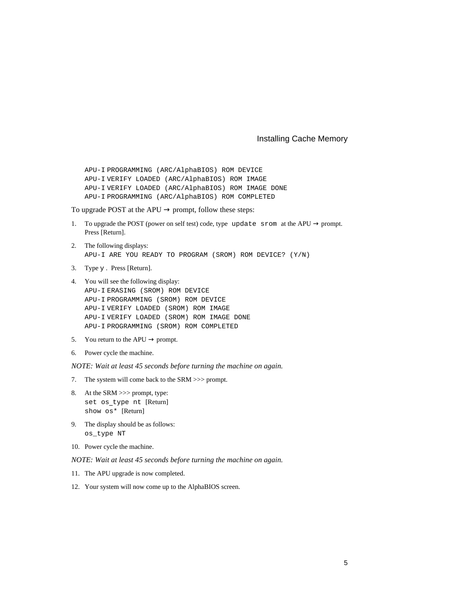APU-I PROGRAMMING (ARC/AlphaBIOS) ROM DEVICE APU-I VERIFY LOADED (ARC/AlphaBIOS) ROM IMAGE APU-I VERIFY LOADED (ARC/AlphaBIOS) ROM IMAGE DONE APU-I PROGRAMMING (ARC/AlphaBIOS) ROM COMPLETED

To upgrade POST at the APU  $\rightarrow$  prompt, follow these steps:

- 1. To upgrade the POST (power on self test) code, type update srom at the APU  $\rightarrow$  prompt. Press [Return].
- 2. The following displays: APU-I ARE YOU READY TO PROGRAM (SROM) ROM DEVICE? (Y/N)
- 3. Type y . Press [Return].

```
4. You will see the following display:
APU-I ERASING (SROM) ROM DEVICE
APU-I PROGRAMMING (SROM) ROM DEVICE
APU-I VERIFY LOADED (SROM) ROM IMAGE
APU-I VERIFY LOADED (SROM) ROM IMAGE DONE
APU-I PROGRAMMING (SROM) ROM COMPLETED
```
- 5. You return to the APU  $\rightarrow$  prompt.
- 6. Power cycle the machine.

*NOTE: Wait at least 45 seconds before turning the machine on again.*

- 7. The system will come back to the SRM >>> prompt.
- 8. At the SRM >>> prompt, type: set os type nt [Return] show os\* [Return]
- 9. The display should be as follows: os\_type NT
- 10. Power cycle the machine.
- *NOTE: Wait at least 45 seconds before turning the machine on again.*
- 11. The APU upgrade is now completed.
- 12. Your system will now come up to the AlphaBIOS screen.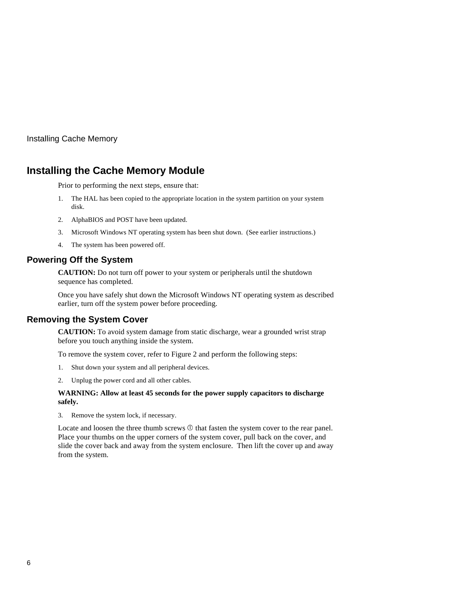## **Installing the Cache Memory Module**

Prior to performing the next steps, ensure that:

- 1. The HAL has been copied to the appropriate location in the system partition on your system disk.
- 2. AlphaBIOS and POST have been updated.
- 3. Microsoft Windows NT operating system has been shut down. (See earlier instructions.)
- 4. The system has been powered off.

#### **Powering Off the System**

**CAUTION:** Do not turn off power to your system or peripherals until the shutdown sequence has completed.

Once you have safely shut down the Microsoft Windows NT operating system as described earlier, turn off the system power before proceeding.

#### **Removing the System Cover**

**CAUTION:** To avoid system damage from static discharge, wear a grounded wrist strap before you touch anything inside the system.

To remove the system cover, refer to Figure 2 and perform the following steps:

- 1. Shut down your system and all peripheral devices.
- 2. Unplug the power cord and all other cables.

#### **WARNING: Allow at least 45 seconds for the power supply capacitors to discharge safely.**

3. Remove the system lock, if necessary.

Locate and loosen the three thumb screws  $\Phi$  that fasten the system cover to the rear panel. Place your thumbs on the upper corners of the system cover, pull back on the cover, and slide the cover back and away from the system enclosure. Then lift the cover up and away from the system.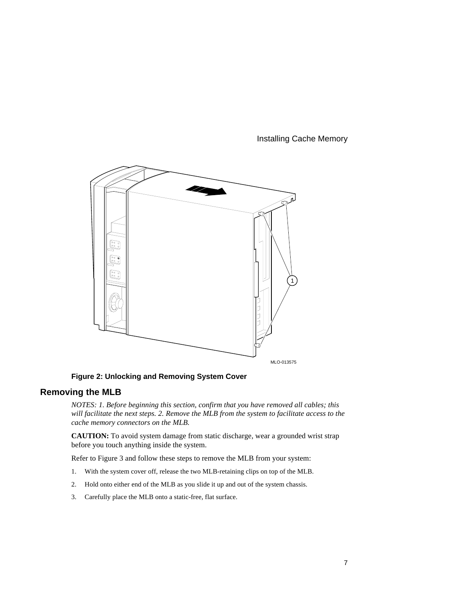

**Figure 2: Unlocking and Removing System Cover**

## **Removing the MLB**

*NOTES: 1. Before beginning this section, confirm that you have removed all cables; this will facilitate the next steps. 2. Remove the MLB from the system to facilitate access to the cache memory connectors on the MLB.*

**CAUTION:** To avoid system damage from static discharge, wear a grounded wrist strap before you touch anything inside the system.

Refer to Figure 3 and follow these steps to remove the MLB from your system:

- 1. With the system cover off, release the two MLB-retaining clips on top of the MLB.
- 2. Hold onto either end of the MLB as you slide it up and out of the system chassis.
- 3. Carefully place the MLB onto a static-free, flat surface.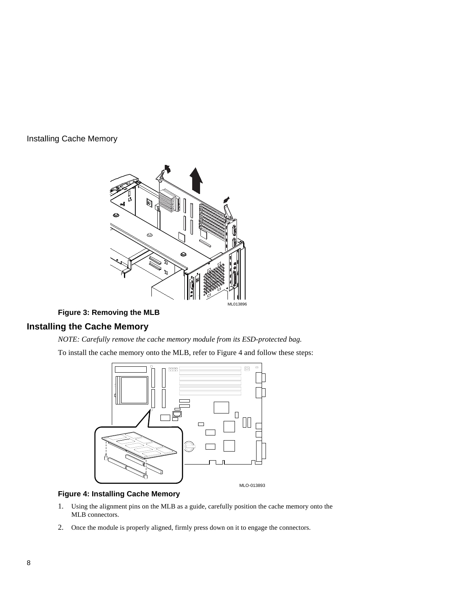

## **Figure 3: Removing the MLB**

## **Installing the Cache Memory**

*NOTE: Carefully remove the cache memory module from its ESD-protected bag.*

To install the cache memory onto the MLB, refer to Figure 4 and follow these steps:



#### **Figure 4: Installing Cache Memory**

- 1. Using the alignment pins on the MLB as a guide, carefully position the cache memory onto the MLB connectors.
- 2. Once the module is properly aligned, firmly press down on it to engage the connectors.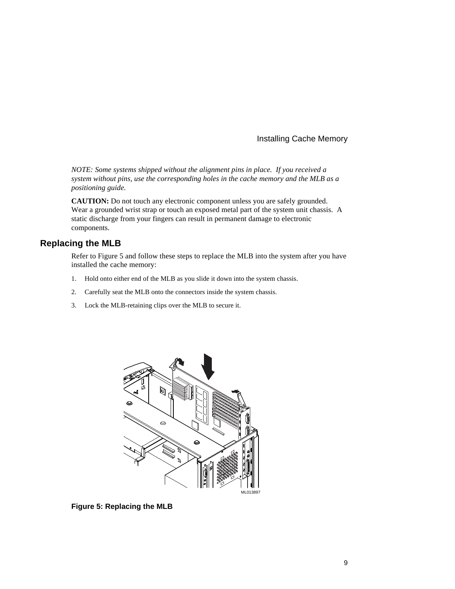*NOTE: Some systems shipped without the alignment pins in place. If you received a system without pins, use the corresponding holes in the cache memory and the MLB as a positioning guide.*

**CAUTION:** Do not touch any electronic component unless you are safely grounded. Wear a grounded wrist strap or touch an exposed metal part of the system unit chassis. A static discharge from your fingers can result in permanent damage to electronic components.

## **Replacing the MLB**

Refer to Figure 5 and follow these steps to replace the MLB into the system after you have installed the cache memory:

- 1. Hold onto either end of the MLB as you slide it down into the system chassis.
- 2. Carefully seat the MLB onto the connectors inside the system chassis.
- 3. Lock the MLB-retaining clips over the MLB to secure it.



**Figure 5: Replacing the MLB**